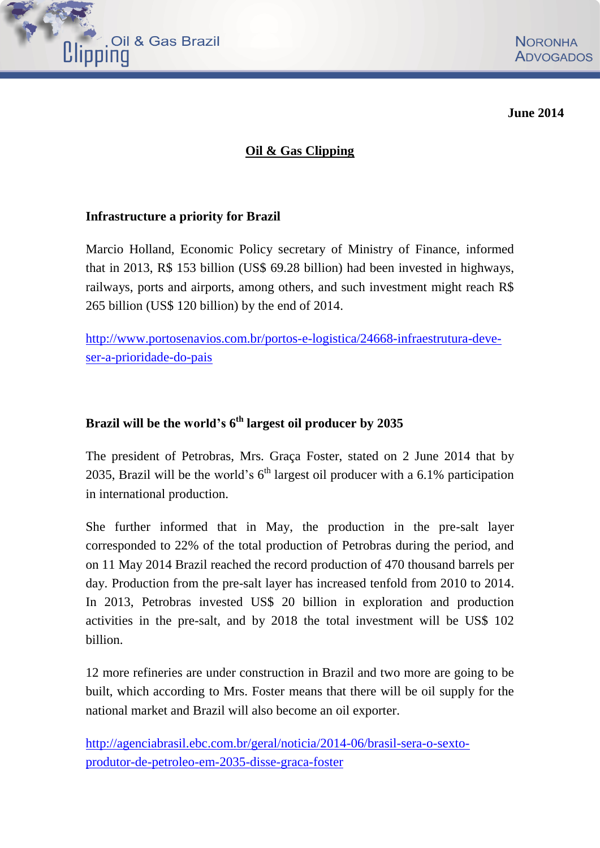

**June 2014**

### **Oil & Gas Clipping**

### **[Infrastructure](http://www.portosenavios.com.br/portos-e-logistica/24668-infraestrutura-deve-ser-a-prioridade-do-pais) a priority for Brazil**

Marcio Holland, Economic Policy secretary of Ministry of Finance, informed that in 2013, R\$ 153 billion (US\$ 69.28 billion) had been invested in highways, railways, ports and airports, among others, and such investment might reach R\$ 265 billion (US\$ 120 billion) by the end of 2014.

[http://www.portosenavios.com.br/portos-e-logistica/24668-infraestrutura-deve](http://www.portosenavios.com.br/portos-e-logistica/24668-infraestrutura-deve-ser-a-prioridade-do-pais)[ser-a-prioridade-do-pais](http://www.portosenavios.com.br/portos-e-logistica/24668-infraestrutura-deve-ser-a-prioridade-do-pais)

### **Brazil will be the world's 6 th largest oil producer by 2035**

The president of Petrobras, Mrs. Graça Foster, stated on 2 June 2014 that by 2035, Brazil will be the world's  $6<sup>th</sup>$  largest oil producer with a 6.1% participation in international production.

She further informed that in May, the production in the pre-salt layer corresponded to 22% of the total production of Petrobras during the period, and on 11 May 2014 Brazil reached the record production of 470 thousand barrels per day. Production from the pre-salt layer has increased tenfold from 2010 to 2014. In 2013, Petrobras invested US\$ 20 billion in exploration and production activities in the pre-salt, and by 2018 the total investment will be US\$ 102 billion.

12 more refineries are under construction in Brazil and two more are going to be built, which according to Mrs. Foster means that there will be oil supply for the national market and Brazil will also become an oil exporter.

[http://agenciabrasil.ebc.com.br/geral/noticia/2014-06/brasil-sera-o-sexto](http://agenciabrasil.ebc.com.br/geral/noticia/2014-06/brasil-sera-o-sexto-produtor-de-petroleo-em-2035-disse-graca-foster)[produtor-de-petroleo-em-2035-disse-graca-foster](http://agenciabrasil.ebc.com.br/geral/noticia/2014-06/brasil-sera-o-sexto-produtor-de-petroleo-em-2035-disse-graca-foster)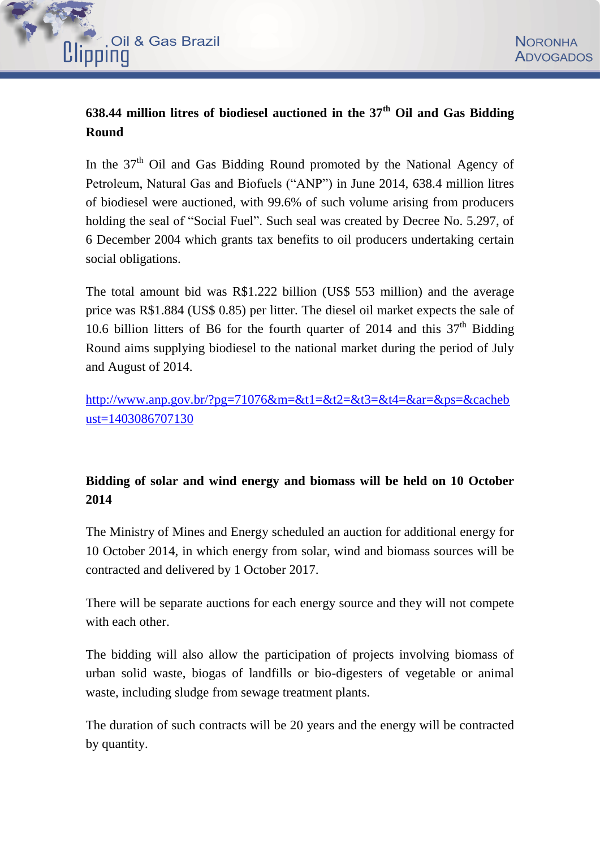

# **638.44 million litres of biodiesel auctioned in the 37th Oil and Gas Bidding Round**

In the  $37<sup>th</sup>$  Oil and Gas Bidding Round promoted by the National Agency of Petroleum, Natural Gas and Biofuels ("ANP") in June 2014, 638.4 million litres of biodiesel were auctioned, with 99.6% of such volume arising from producers holding the seal of "Social Fuel". Such seal was created by Decree No. 5.297, of 6 December 2004 which grants tax benefits to oil producers undertaking certain social obligations.

The total amount bid was R\$1.222 billion (US\$ 553 million) and the average price was R\$1.884 (US\$ 0.85) per litter. The diesel oil market expects the sale of 10.6 billion litters of B6 for the fourth quarter of 2014 and this  $37<sup>th</sup>$  Bidding Round aims supplying biodiesel to the national market during the period of July and August of 2014.

[http://www.anp.gov.br/?pg=71076&m=&t1=&t2=&t3=&t4=&ar=&ps=&cacheb](http://www.anp.gov.br/?pg=71076&m=&t1=&t2=&t3=&t4=&ar=&ps=&cachebust=1403086707130) [ust=1403086707130](http://www.anp.gov.br/?pg=71076&m=&t1=&t2=&t3=&t4=&ar=&ps=&cachebust=1403086707130)

## **Bidding of solar and wind energy and biomass will be held on 10 October 2014**

The Ministry of Mines and Energy scheduled an auction for additional energy for 10 October 2014, in which energy from solar, wind and biomass sources will be contracted and delivered by 1 October 2017.

There will be separate auctions for each energy source and they will not compete with each other.

The bidding will also allow the participation of projects involving biomass of urban solid waste, biogas of landfills or bio-digesters of vegetable or animal waste, including sludge from sewage treatment plants.

The duration of such contracts will be 20 years and the energy will be contracted by quantity.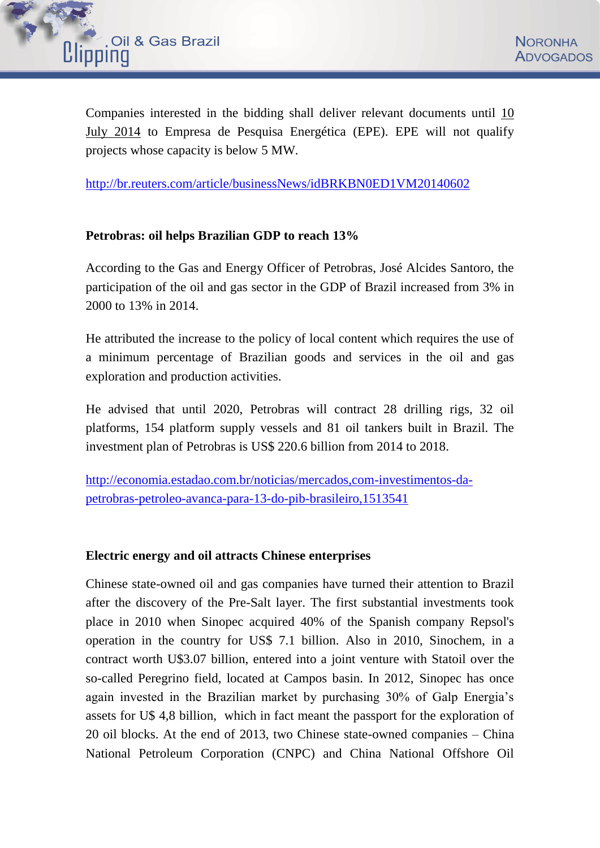

Companies interested in the bidding shall deliver relevant documents until 10 July 2014 to Empresa de Pesquisa Energética (EPE). EPE will not qualify projects whose capacity is below 5 MW.

<http://br.reuters.com/article/businessNews/idBRKBN0ED1VM20140602>

### **Petrobras: oil helps Brazilian GDP to reach 13%**

According to the Gas and Energy Officer of Petrobras, José Alcides Santoro, the participation of the oil and gas sector in the GDP of Brazil increased from 3% in 2000 to 13% in 2014.

He attributed the increase to the policy of local content which requires the use of a minimum percentage of Brazilian goods and services in the oil and gas exploration and production activities.

He advised that until 2020, Petrobras will contract 28 drilling rigs, 32 oil platforms, 154 platform supply vessels and 81 oil tankers built in Brazil. The investment plan of Petrobras is US\$ 220.6 billion from 2014 to 2018.

[http://economia.estadao.com.br/noticias/mercados,com-investimentos-da](http://economia.estadao.com.br/noticias/mercados,com-investimentos-da-petrobras-petroleo-avanca-para-13-do-pib-brasileiro,1513541)[petrobras-petroleo-avanca-para-13-do-pib-brasileiro,1513541](http://economia.estadao.com.br/noticias/mercados,com-investimentos-da-petrobras-petroleo-avanca-para-13-do-pib-brasileiro,1513541)

### **Electric energy and oil attracts Chinese enterprises**

Chinese state-owned oil and gas companies have turned their attention to Brazil after the discovery of the Pre-Salt layer. The first substantial investments took place in 2010 when Sinopec acquired 40% of the Spanish company Repsol's operation in the country for US\$ 7.1 billion. Also in 2010, Sinochem, in a contract worth U\$3.07 billion, entered into a joint venture with Statoil over the so-called Peregrino field, located at Campos basin. In 2012, Sinopec has once again invested in the Brazilian market by purchasing 30% of Galp Energia's assets for U\$ 4,8 billion, which in fact meant the passport for the exploration of 20 oil blocks. At the end of 2013, two Chinese state-owned companies – China National Petroleum Corporation (CNPC) and China National Offshore Oil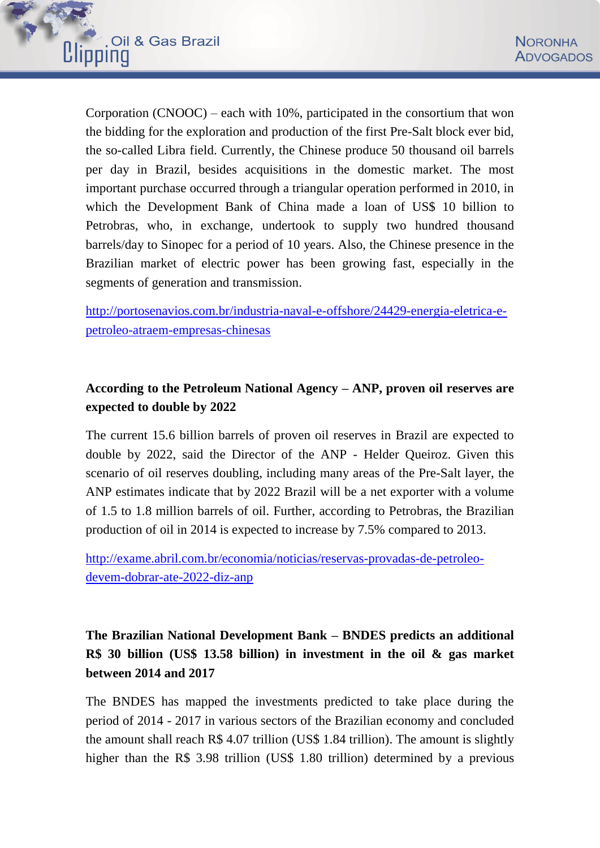

Corporation (CNOOC) – each with 10%, participated in the consortium that won the bidding for the exploration and production of the first Pre-Salt block ever bid, the so-called Libra field. Currently, the Chinese produce 50 thousand oil barrels per day in Brazil, besides acquisitions in the domestic market. The most important purchase occurred through a triangular operation performed in 2010, in which the Development Bank of China made a loan of US\$ 10 billion to Petrobras, who, in exchange, undertook to supply two hundred thousand barrels/day to Sinopec for a period of 10 years. Also, the Chinese presence in the Brazilian market of electric power has been growing fast, especially in the segments of generation and transmission.

[http://portosenavios.com.br/industria-naval-e-offshore/24429-energia-eletrica-e](http://portosenavios.com.br/industria-naval-e-offshore/24429-energia-eletrica-e-petroleo-atraem-empresas-chinesas)[petroleo-atraem-empresas-chinesas](http://portosenavios.com.br/industria-naval-e-offshore/24429-energia-eletrica-e-petroleo-atraem-empresas-chinesas)

## **According to the Petroleum National Agency – ANP, proven oil reserves are expected to double by 2022**

The current 15.6 billion barrels of proven oil reserves in Brazil are expected to double by 2022, said the Director of the ANP - Helder Queiroz. Given this scenario of oil reserves doubling, including many areas of the Pre-Salt layer, the ANP estimates indicate that by 2022 Brazil will be a net exporter with a volume of 1.5 to 1.8 million barrels of oil. Further, according to Petrobras, the Brazilian production of oil in 2014 is expected to increase by 7.5% compared to 2013.

[http://exame.abril.com.br/economia/noticias/reservas-provadas-de-petroleo](http://exame.abril.com.br/economia/noticias/reservas-provadas-de-petroleo-devem-dobrar-ate-2022-diz-anp)[devem-dobrar-ate-2022-diz-anp](http://exame.abril.com.br/economia/noticias/reservas-provadas-de-petroleo-devem-dobrar-ate-2022-diz-anp)

**The Brazilian National Development Bank – BNDES predicts an additional R\$ 30 billion (US\$ 13.58 billion) in investment in the oil & gas market between 2014 and 2017**

The BNDES has mapped the investments predicted to take place during the period of 2014 - 2017 in various sectors of the Brazilian economy and concluded the amount shall reach R\$ 4.07 trillion (US\$ 1.84 trillion). The amount is slightly higher than the R\$ 3.98 trillion (US\$ 1.80 trillion) determined by a previous